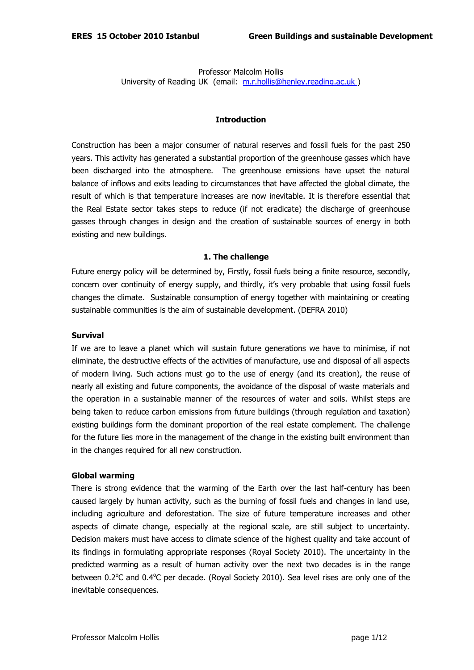Professor Malcolm Hollis University of Reading UK (email: m.r.hollis@henley.reading.ac.uk)

### **Introduction**

Construction has been a major consumer of natural reserves and fossil fuels for the past 250 years. This activity has generated a substantial proportion of the greenhouse gasses which have been discharged into the atmosphere. The greenhouse emissions have upset the natural balance of inflows and exits leading to circumstances that have affected the global climate, the result of which is that temperature increases are now inevitable. It is therefore essential that the Real Estate sector takes steps to reduce (if not eradicate) the discharge of greenhouse gasses through changes in design and the creation of sustainable sources of energy in both existing and new buildings.

#### **1. The challenge**

Future energy policy will be determined by, Firstly, fossil fuels being a finite resource, secondly, concern over continuity of energy supply, and thirdly, it's very probable that using fossil fuels changes the climate. Sustainable consumption of energy together with maintaining or creating sustainable communities is the aim of sustainable development. (DEFRA 2010)

### **Survival**

If we are to leave a planet which will sustain future generations we have to minimise, if not eliminate, the destructive effects of the activities of manufacture, use and disposal of all aspects of modern living. Such actions must go to the use of energy (and its creation), the reuse of nearly all existing and future components, the avoidance of the disposal of waste materials and the operation in a sustainable manner of the resources of water and soils. Whilst steps are being taken to reduce carbon emissions from future buildings (through regulation and taxation) existing buildings form the dominant proportion of the real estate complement. The challenge for the future lies more in the management of the change in the existing built environment than in the changes required for all new construction.

#### **Global warming**

There is strong evidence that the warming of the Earth over the last half-century has been caused largely by human activity, such as the burning of fossil fuels and changes in land use, including agriculture and deforestation. The size of future temperature increases and other aspects of climate change, especially at the regional scale, are still subject to uncertainty. Decision makers must have access to climate science of the highest quality and take account of its findings in formulating appropriate responses (Royal Society 2010). The uncertainty in the predicted warming as a result of human activity over the next two decades is in the range between 0.2°C and 0.4°C per decade. (Royal Society 2010). Sea level rises are only one of the inevitable consequences.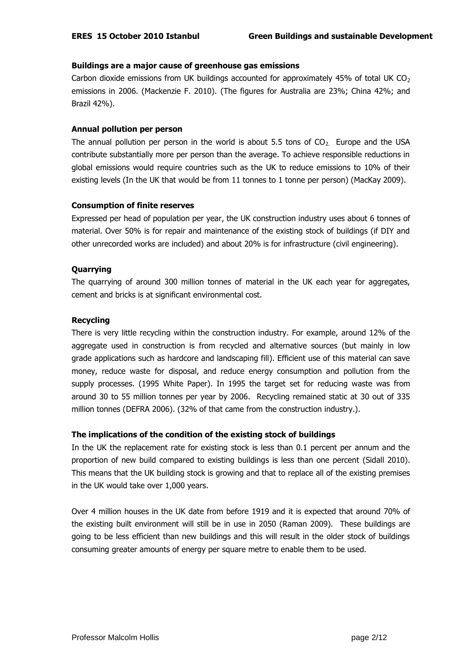# **Buildings are a major cause of greenhouse gas emissions**

Carbon dioxide emissions from UK buildings accounted for approximately 45% of total UK  $CO<sub>2</sub>$ emissions in 2006. (Mackenzie F. 2010). (The figures for Australia are 23%; China 42%; and Brazil 42%).

## **Annual pollution per person**

The annual pollution per person in the world is about 5.5 tons of  $CO<sub>2</sub>$ . Europe and the USA contribute substantially more per person than the average. To achieve responsible reductions in global emissions would require countries such as the UK to reduce emissions to 10% of their existing levels (In the UK that would be from 11 tonnes to 1 tonne per person) (MacKay 2009).

# **Consumption of finite reserves**

Expressed per head of population per year, the UK construction industry uses about 6 tonnes of material. Over 50% is for repair and maintenance of the existing stock of buildings (if DIY and other unrecorded works are included) and about 20% is for infrastructure (civil engineering).

# **Quarrying**

The quarrying of around 300 million tonnes of material in the UK each year for aggregates, cement and bricks is at significant environmental cost.

# **Recycling**

There is very little recycling within the construction industry. For example, around 12% of the aggregate used in construction is from recycled and alternative sources (but mainly in low grade applications such as hardcore and landscaping fill). Efficient use of this material can save money, reduce waste for disposal, and reduce energy consumption and pollution from the supply processes. (1995 White Paper). In 1995 the target set for reducing waste was from around 30 to 55 million tonnes per year by 2006. Recycling remained static at 30 out of 335 million tonnes (DEFRA 2006). (32% of that came from the construction industry.).

# **The implications of the condition of the existing stock of buildings**

In the UK the replacement rate for existing stock is less than 0.1 percent per annum and the proportion of new build compared to existing buildings is less than one percent (Sidall 2010). This means that the UK building stock is growing and that to replace all of the existing premises in the UK would take over 1,000 years.

Over 4 million houses in the UK date from before 1919 and it is expected that around 70% of the existing built environment will still be in use in 2050 (Raman 2009). These buildings are going to be less efficient than new buildings and this will result in the older stock of buildings consuming greater amounts of energy per square metre to enable them to be used.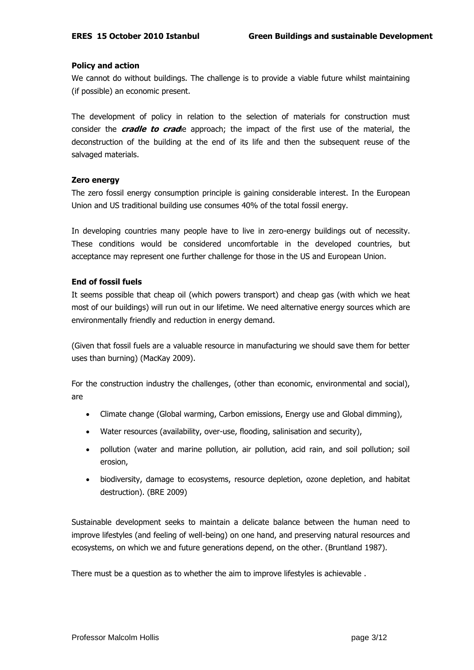# **Policy and action**

We cannot do without buildings. The challenge is to provide a viable future whilst maintaining (if possible) an economic present.

The development of policy in relation to the selection of materials for construction must consider the **cradle to crad**le approach; the impact of the first use of the material, the deconstruction of the building at the end of its life and then the subsequent reuse of the salvaged materials.

# **Zero energy**

The zero fossil energy consumption principle is gaining considerable interest. In the European Union and US traditional building use consumes 40% of the total fossil energy.

In developing countries many people have to live in zero-energy buildings out of necessity. These conditions would be considered uncomfortable in the developed countries, but acceptance may represent one further challenge for those in the US and European Union.

# **End of fossil fuels**

It seems possible that cheap oil (which powers transport) and cheap gas (with which we heat most of our buildings) will run out in our lifetime. We need alternative energy sources which are environmentally friendly and reduction in energy demand.

(Given that fossil fuels are a valuable resource in manufacturing we should save them for better uses than burning) (MacKay 2009).

For the construction industry the challenges, (other than economic, environmental and social), are

- Climate change (Global warming, Carbon emissions, Energy use and Global dimming),
- Water resources (availability, over-use, flooding, salinisation and security),
- pollution (water and marine pollution, air pollution, acid rain, and soil pollution; soil erosion,
- biodiversity, damage to ecosystems, resource depletion, ozone depletion, and habitat destruction). (BRE 2009)

Sustainable development seeks to maintain a delicate balance between the human need to improve lifestyles (and feeling of well-being) on one hand, and preserving natural resources and ecosystems, on which we and future generations depend, on the other. (Bruntland 1987).

There must be a question as to whether the aim to improve lifestyles is achievable .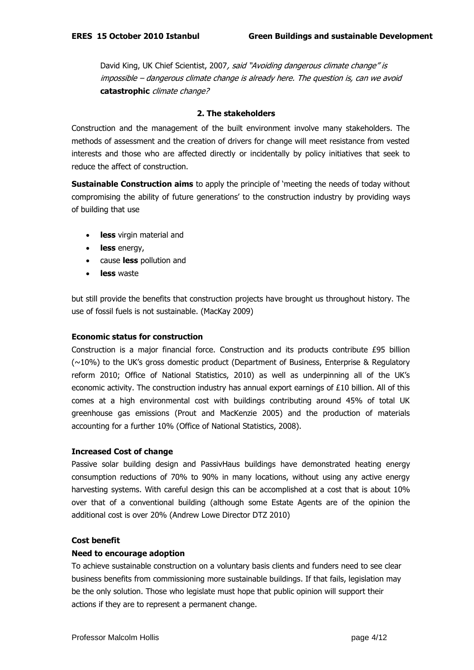David King, UK Chief Scientist, 2007, said "Avoiding dangerous climate change" is impossible – dangerous climate change is already here. The question is, can we avoid **catastrophic** climate change?

## **2. The stakeholders**

Construction and the management of the built environment involve many stakeholders. The methods of assessment and the creation of drivers for change will meet resistance from vested interests and those who are affected directly or incidentally by policy initiatives that seek to reduce the affect of construction.

**Sustainable Construction aims** to apply the principle of "meeting the needs of today without compromising the ability of future generations" to the construction industry by providing ways of building that use

- **less** virgin material and
- **less** energy,
- cause **less** pollution and
- **less** waste

but still provide the benefits that construction projects have brought us throughout history. The use of fossil fuels is not sustainable. (MacKay 2009)

## **Economic status for construction**

Construction is a major financial force. Construction and its products contribute £95 billion (~10%) to the UK"s gross domestic product (Department of Business, Enterprise & Regulatory reform 2010; Office of National Statistics, 2010) as well as underpinning all of the UK"s economic activity. The construction industry has annual export earnings of £10 billion. All of this comes at a high environmental cost with buildings contributing around 45% of total UK greenhouse gas emissions (Prout and MacKenzie 2005) and the production of materials accounting for a further 10% (Office of National Statistics, 2008).

## **Increased Cost of change**

Passive solar building design and PassivHaus buildings have demonstrated heating energy consumption reductions of 70% to 90% in many locations, without using any active energy harvesting systems. With careful design this can be accomplished at a cost that is about 10% over that of a conventional building (although some Estate Agents are of the opinion the additional cost is over 20% (Andrew Lowe Director DTZ 2010)

## **Cost benefit**

## **Need to encourage adoption**

To achieve sustainable construction on a voluntary basis clients and funders need to see clear business benefits from commissioning more sustainable buildings. If that fails, legislation may be the only solution. Those who legislate must hope that public opinion will support their actions if they are to represent a permanent change.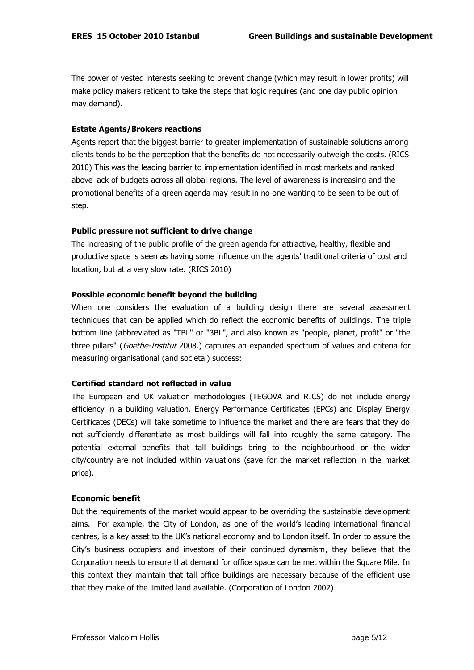The power of vested interests seeking to prevent change (which may result in lower profits) will make policy makers reticent to take the steps that logic requires (and one day public opinion may demand).

## **Estate Agents/Brokers reactions**

Agents report that the biggest barrier to greater implementation of sustainable solutions among clients tends to be the perception that the benefits do not necessarily outweigh the costs. (RICS 2010) This was the leading barrier to implementation identified in most markets and ranked above lack of budgets across all global regions. The level of awareness is increasing and the promotional benefits of a green agenda may result in no one wanting to be seen to be out of step.

# **Public pressure not sufficient to drive change**

The increasing of the public profile of the green agenda for attractive, healthy, flexible and productive space is seen as having some influence on the agents" traditional criteria of cost and location, but at a very slow rate. (RICS 2010)

# **Possible economic benefit beyond the building**

When one considers the evaluation of a building design there are several assessment techniques that can be applied which do reflect the economic benefits of buildings. The triple bottom line (abbreviated as "TBL" or "3BL", and also known as "people, planet, profit" or "the three pillars" (Goethe-Institut 2008.) captures an expanded spectrum of values and criteria for measuring organisational (and societal) success:

# **Certified standard not reflected in value**

The European and UK valuation methodologies (TEGOVA and RICS) do not include energy efficiency in a building valuation. Energy Performance Certificates (EPCs) and Display Energy Certificates (DECs) will take sometime to influence the market and there are fears that they do not sufficiently differentiate as most buildings will fall into roughly the same category. The potential external benefits that tall buildings bring to the neighbourhood or the wider city/country are not included within valuations (save for the market reflection in the market price).

## **Economic benefit**

But the requirements of the market would appear to be overriding the sustainable development aims. For example, the City of London, as one of the world"s leading international financial centres, is a key asset to the UK"s national economy and to London itself. In order to assure the City"s business occupiers and investors of their continued dynamism, they believe that the Corporation needs to ensure that demand for office space can be met within the Square Mile. In this context they maintain that tall office buildings are necessary because of the efficient use that they make of the limited land available. (Corporation of London 2002)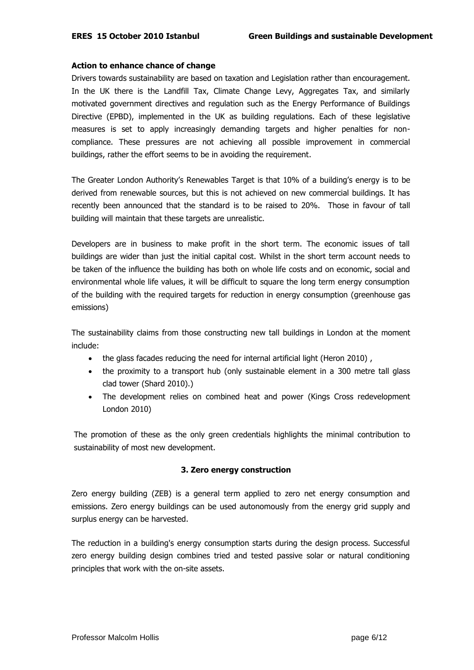# **Action to enhance chance of change**

Drivers towards sustainability are based on taxation and Legislation rather than encouragement. In the UK there is the Landfill Tax, Climate Change Levy, Aggregates Tax, and similarly motivated government directives and regulation such as the Energy Performance of Buildings Directive (EPBD), implemented in the UK as building regulations. Each of these legislative measures is set to apply increasingly demanding targets and higher penalties for noncompliance. These pressures are not achieving all possible improvement in commercial buildings, rather the effort seems to be in avoiding the requirement.

The Greater London Authority's Renewables Target is that 10% of a building's energy is to be derived from renewable sources, but this is not achieved on new commercial buildings. It has recently been announced that the standard is to be raised to 20%. Those in favour of tall building will maintain that these targets are unrealistic.

Developers are in business to make profit in the short term. The economic issues of tall buildings are wider than just the initial capital cost. Whilst in the short term account needs to be taken of the influence the building has both on whole life costs and on economic, social and environmental whole life values, it will be difficult to square the long term energy consumption of the building with the required targets for reduction in energy consumption (greenhouse gas emissions)

The sustainability claims from those constructing new tall buildings in London at the moment include:

- the glass facades reducing the need for internal artificial light (Heron 2010) ,
- the proximity to a transport hub (only sustainable element in a 300 metre tall glass clad tower (Shard 2010).)
- The development relies on combined heat and power (Kings Cross redevelopment London 2010)

The promotion of these as the only green credentials highlights the minimal contribution to sustainability of most new development.

# **3. Zero energy construction**

Zero energy building (ZEB) is a general term applied to zero net energy consumption and emissions. Zero energy buildings can be used autonomously from the energy grid supply and surplus energy can be harvested.

The reduction in a building's energy consumption starts during the design process. Successful zero energy building design combines tried and tested passive solar or natural conditioning principles that work with the on-site assets.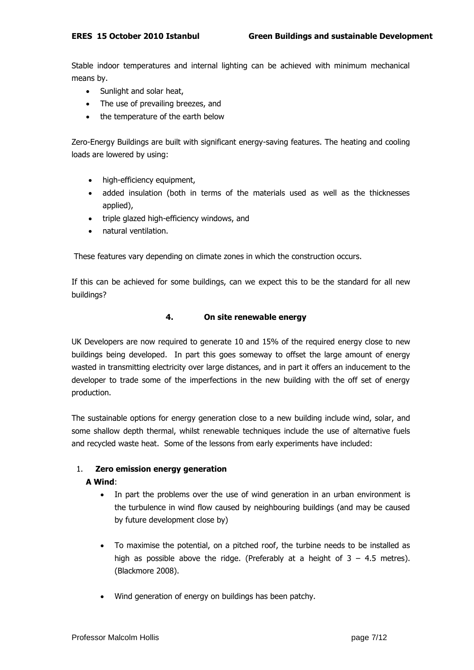Stable indoor temperatures and internal lighting can be achieved with minimum mechanical means by.

- Sunlight and solar heat,
- The use of prevailing breezes, and
- the temperature of the earth below

Zero-Energy Buildings are built with significant energy-saving features. The heating and cooling loads are lowered by using:

- high-efficiency equipment,
- added insulation (both in terms of the materials used as well as the thicknesses applied),
- triple glazed high-efficiency windows, and
- natural ventilation.

These features vary depending on climate zones in which the construction occurs.

If this can be achieved for some buildings, can we expect this to be the standard for all new buildings?

# **4. On site renewable energy**

UK Developers are now required to generate 10 and 15% of the required energy close to new buildings being developed. In part this goes someway to offset the large amount of energy wasted in transmitting electricity over large distances, and in part it offers an inducement to the developer to trade some of the imperfections in the new building with the off set of energy production.

The sustainable options for energy generation close to a new building include wind, solar, and some shallow depth thermal, whilst renewable techniques include the use of alternative fuels and recycled waste heat. Some of the lessons from early experiments have included:

# 1. **Zero emission energy generation**

# **A Wind**:

- In part the problems over the use of wind generation in an urban environment is the turbulence in wind flow caused by neighbouring buildings (and may be caused by future development close by)
- To maximise the potential, on a pitched roof, the turbine needs to be installed as high as possible above the ridge. (Preferably at a height of  $3 - 4.5$  metres). (Blackmore 2008).
- Wind generation of energy on buildings has been patchy.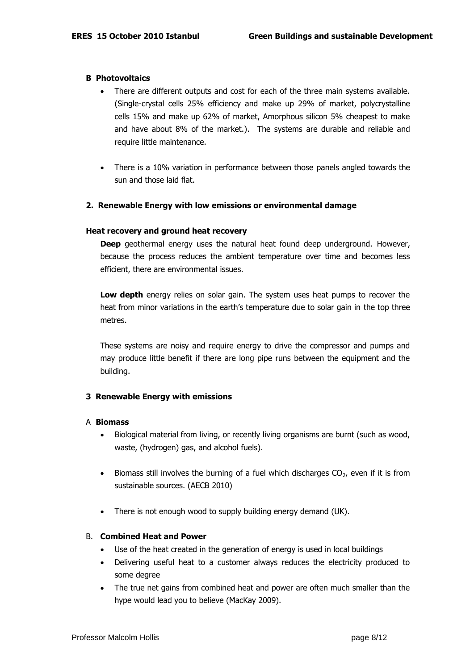#### **B Photovoltaics**

- There are different outputs and cost for each of the three main systems available. (Single-crystal cells 25% efficiency and make up 29% of market, polycrystalline cells 15% and make up 62% of market, Amorphous silicon 5% cheapest to make and have about 8% of the market.). The systems are durable and reliable and require little maintenance.
- There is a 10% variation in performance between those panels angled towards the sun and those laid flat.

#### **2. Renewable Energy with low emissions or environmental damage**

#### **Heat recovery and ground heat recovery**

**Deep** geothermal energy uses the natural heat found deep underground. However, because the process reduces the ambient temperature over time and becomes less efficient, there are environmental issues.

**Low depth** energy relies on solar gain. The system uses heat pumps to recover the heat from minor variations in the earth's temperature due to solar gain in the top three metres.

These systems are noisy and require energy to drive the compressor and pumps and may produce little benefit if there are long pipe runs between the equipment and the building.

## **3 Renewable Energy with emissions**

#### A **Biomass**

- Biological material from living, or recently living organisms are burnt (such as wood, waste, (hydrogen) gas, and alcohol fuels).
- $\bullet$  Biomass still involves the burning of a fuel which discharges CO<sub>2</sub>, even if it is from sustainable sources. (AECB 2010)
- There is not enough wood to supply building energy demand (UK).

#### B. **Combined Heat and Power**

- Use of the heat created in the generation of energy is used in local buildings
- Delivering useful heat to a customer always reduces the electricity produced to some degree
- The true net gains from combined heat and power are often much smaller than the hype would lead you to believe (MacKay 2009).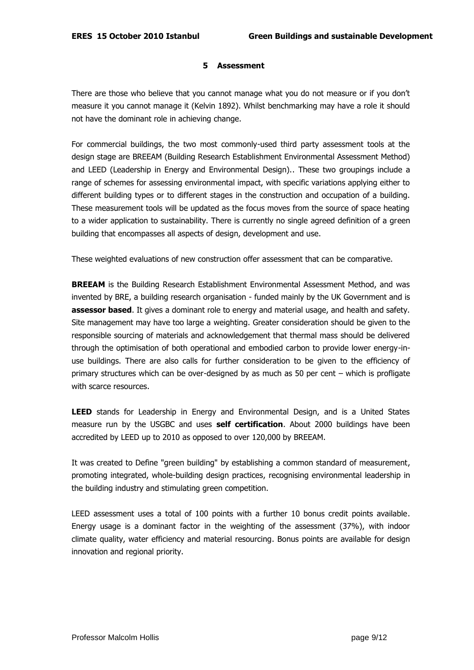## **5 Assessment**

There are those who believe that you cannot manage what you do not measure or if you don"t measure it you cannot manage it (Kelvin 1892). Whilst benchmarking may have a role it should not have the dominant role in achieving change.

For commercial buildings, the two most commonly-used third party assessment tools at the design stage are BREEAM (Building Research Establishment Environmental Assessment Method) and LEED (Leadership in Energy and Environmental Design).. These two groupings include a range of schemes for assessing environmental impact, with specific variations applying either to different building types or to different stages in the construction and occupation of a building. These measurement tools will be updated as the focus moves from the source of space heating to a wider application to sustainability. There is currently no single agreed definition of a green building that encompasses all aspects of design, development and use.

These weighted evaluations of new construction offer assessment that can be comparative.

**BREEAM** is the Building Research Establishment Environmental Assessment Method, and was invented by BRE, a building research organisation - funded mainly by the UK Government and is **assessor based**. It gives a dominant role to energy and material usage, and health and safety. Site management may have too large a weighting. Greater consideration should be given to the responsible sourcing of materials and acknowledgement that thermal mass should be delivered through the optimisation of both operational and embodied carbon to provide lower energy-inuse buildings. There are also calls for further consideration to be given to the efficiency of primary structures which can be over-designed by as much as 50 per cent – which is profligate with scarce resources.

**LEED** stands for Leadership in Energy and Environmental Design, and is a United States measure run by the USGBC and uses **self certification**. About 2000 buildings have been accredited by LEED up to 2010 as opposed to over 120,000 by BREEAM.

It was created to Define "green building" by establishing a common standard of measurement, promoting integrated, whole-building design practices, recognising environmental leadership in the building industry and stimulating green competition.

LEED assessment uses a total of 100 points with a further 10 bonus credit points available. Energy usage is a dominant factor in the weighting of the assessment (37%), with indoor climate quality, water efficiency and material resourcing. Bonus points are available for design innovation and regional priority.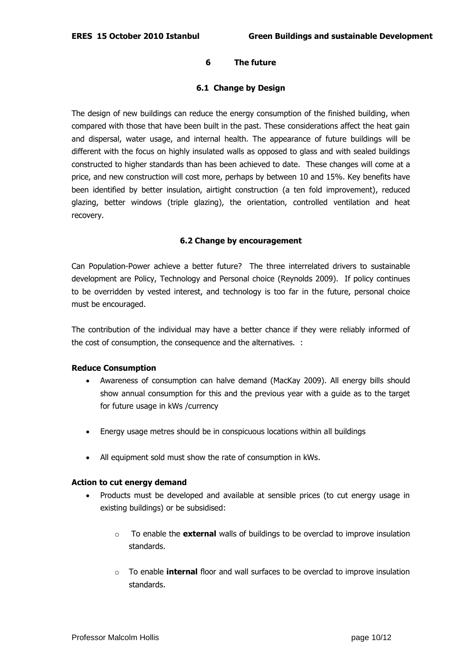# **6 The future**

# **6.1 Change by Design**

The design of new buildings can reduce the energy consumption of the finished building, when compared with those that have been built in the past. These considerations affect the heat gain and dispersal, water usage, and internal health. The appearance of future buildings will be different with the focus on highly insulated walls as opposed to glass and with sealed buildings constructed to higher standards than has been achieved to date. These changes will come at a price, and new construction will cost more, perhaps by between 10 and 15%. Key benefits have been identified by better insulation, airtight construction (a ten fold improvement), reduced glazing, better windows (triple glazing), the orientation, controlled ventilation and heat recovery.

## **6.2 Change by encouragement**

Can Population-Power achieve a better future? The three interrelated drivers to sustainable development are Policy, Technology and Personal choice (Reynolds 2009). If policy continues to be overridden by vested interest, and technology is too far in the future, personal choice must be encouraged.

The contribution of the individual may have a better chance if they were reliably informed of the cost of consumption, the consequence and the alternatives. :

## **Reduce Consumption**

- Awareness of consumption can halve demand (MacKay 2009). All energy bills should show annual consumption for this and the previous year with a guide as to the target for future usage in kWs /currency
- Energy usage metres should be in conspicuous locations within all buildings
- All equipment sold must show the rate of consumption in kWs.

## **Action to cut energy demand**

- Products must be developed and available at sensible prices (to cut energy usage in existing buildings) or be subsidised:
	- o To enable the **external** walls of buildings to be overclad to improve insulation standards.
	- o To enable **internal** floor and wall surfaces to be overclad to improve insulation standards.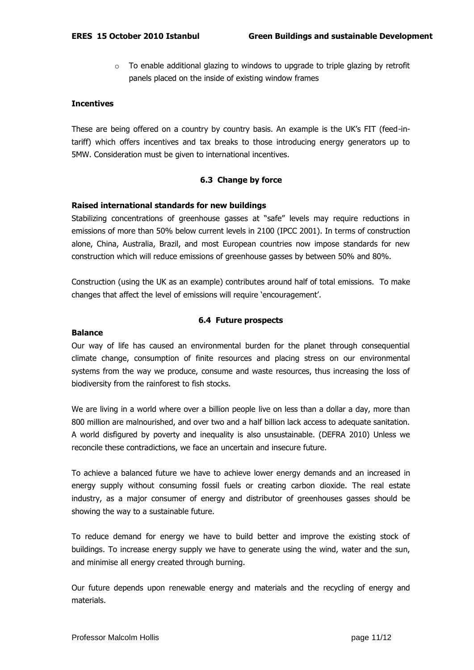o To enable additional glazing to windows to upgrade to triple glazing by retrofit panels placed on the inside of existing window frames

## **Incentives**

These are being offered on a country by country basis. An example is the UK"s FIT (feed-intariff) which offers incentives and tax breaks to those introducing energy generators up to 5MW. Consideration must be given to international incentives.

# **6.3 Change by force**

## **Raised international standards for new buildings**

Stabilizing concentrations of greenhouse gasses at "safe" levels may require reductions in emissions of more than 50% below current levels in 2100 (IPCC 2001). In terms of construction alone, China, Australia, Brazil, and most European countries now impose standards for new construction which will reduce emissions of greenhouse gasses by between 50% and 80%.

Construction (using the UK as an example) contributes around half of total emissions. To make changes that affect the level of emissions will require "encouragement".

# **6.4 Future prospects**

### **Balance**

Our way of life has caused an environmental burden for the planet through consequential climate change, consumption of finite resources and placing stress on our environmental systems from the way we produce, consume and waste resources, thus increasing the loss of biodiversity from the rainforest to fish stocks.

We are living in a world where over a billion people live on less than a dollar a day, more than 800 million are malnourished, and over two and a half billion lack access to adequate sanitation. A world disfigured by poverty and inequality is also unsustainable. (DEFRA 2010) Unless we reconcile these contradictions, we face an uncertain and insecure future.

To achieve a balanced future we have to achieve lower energy demands and an increased in energy supply without consuming fossil fuels or creating carbon dioxide. The real estate industry, as a major consumer of energy and distributor of greenhouses gasses should be showing the way to a sustainable future.

To reduce demand for energy we have to build better and improve the existing stock of buildings. To increase energy supply we have to generate using the wind, water and the sun, and minimise all energy created through burning.

Our future depends upon renewable energy and materials and the recycling of energy and materials.